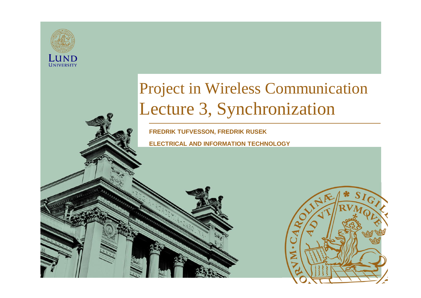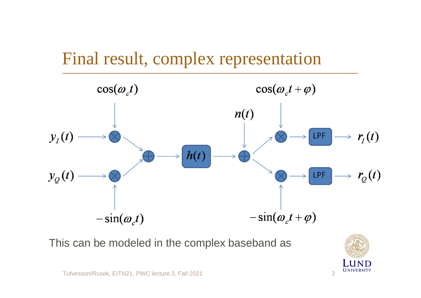

This can be modeled in the complex baseband as

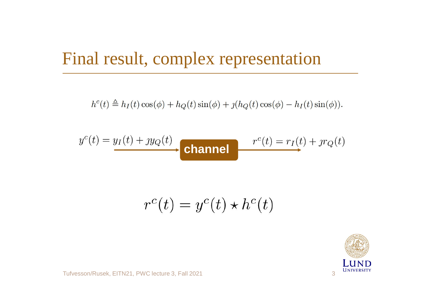#### Final result, complex representation

 $h^{c}(t) \triangleq h_{I}(t)\cos(\phi) + h_{Q}(t)\sin(\phi) + \jmath(h_{Q}(t)\cos(\phi) - h_{I}(t)\sin(\phi)).$ 

$$
y^{c}(t) = y_{I}(t) + y_{Q}(t)
$$
 channel 
$$
r^{c}(t) = r_{I}(t) + y_{Q}(t)
$$

$$
r^c(t) = y^c(t) \star h^c(t)
$$

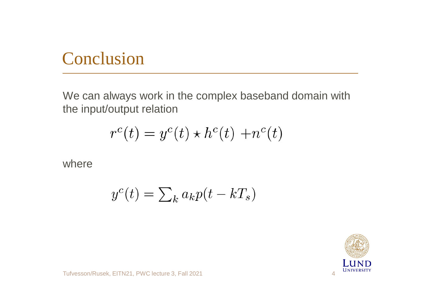#### Conclusion

We can always work in the complex baseband domain with the input/output relation

$$
r^{c}(t) = y^{c}(t) \star h^{c}(t) + n^{c}(t)
$$

where

$$
y^c(t) = \sum_k a_k p(t - kT_s)
$$

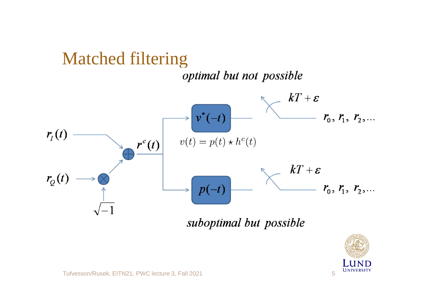#### Matched filtering

optimal but not possible



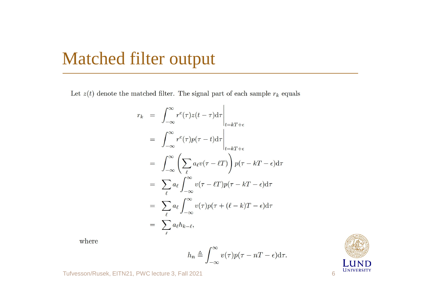#### Matched filter output

Let  $z(t)$  denote the matched filter. The signal part of each sample  $r_k$  equals

$$
r_k = \int_{-\infty}^{\infty} r^c(\tau) z(t - \tau) d\tau \Big|_{t = kT + \epsilon}
$$
  
\n
$$
= \int_{-\infty}^{\infty} r^c(\tau) p(\tau - t) d\tau \Big|_{t = kT + \epsilon}
$$
  
\n
$$
= \int_{-\infty}^{\infty} \left( \sum_{\ell} a_{\ell} v(\tau - \ell T) \right) p(\tau - kT - \epsilon) d\tau
$$
  
\n
$$
= \sum_{\ell} a_{\ell} \int_{-\infty}^{\infty} v(\tau - \ell T) p(\tau - kT - \epsilon) d\tau
$$
  
\n
$$
= \sum_{\ell} a_{\ell} \int_{-\infty}^{\infty} v(\tau) p(\tau + (\ell - k)T - \epsilon) d\tau
$$
  
\n
$$
= \sum_{\ell} a_{\ell} h_{k - \ell},
$$

where

$$
h_n \triangleq \int_{-\infty}^{\infty} v(\tau) p(\tau - nT - \epsilon) d\tau.
$$

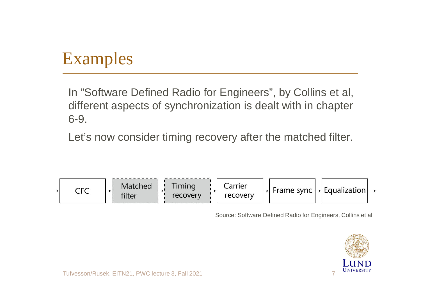## Examples

In "Software Defined Radio for Engineers", by Collins et al, different aspects of synchronization is dealt with in chapter 6-9.

Let's now consider timing recovery after the matched filter.



Source: Software Defined Radio for Engineers, Collins et al

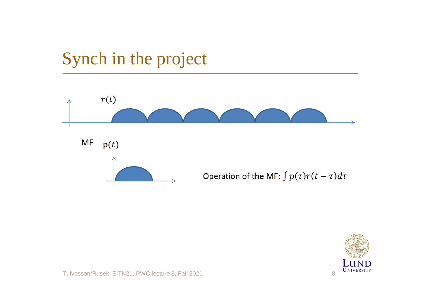

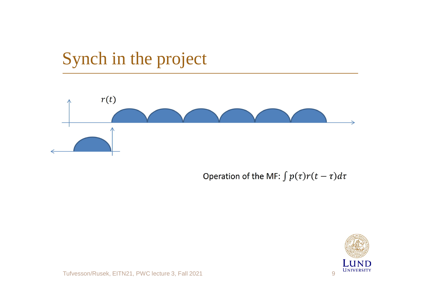

Operation of the MF:  $\int p(\tau)r(t-\tau)d\tau$ 

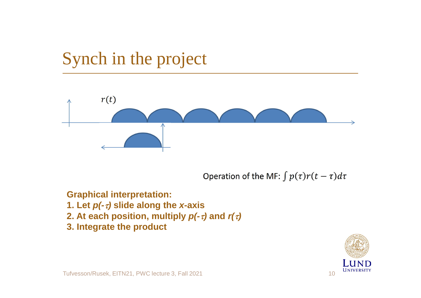

Operation of the MF:  $\int p(\tau)r(t-\tau)d\tau$ 

**Graphical interpretation: 1. Let**  $p(-\tau)$  slide along the *x*-axis **2. At each position, multiply**  $p(-\tau)$  **and**  $r(\tau)$ **3. Integrate the product**

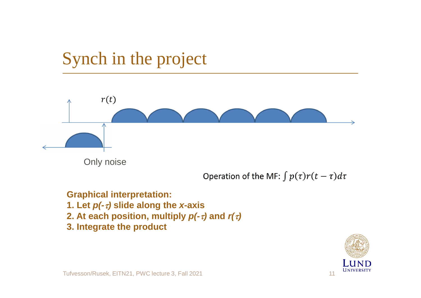

**Graphical interpretation:**

- **1. Let**  $p(-\tau)$  **slide along the** *x***-axis**
- **2. At each position, multiply**  $p(-\tau)$  **and**  $r(\tau)$
- **3. Integrate the product**

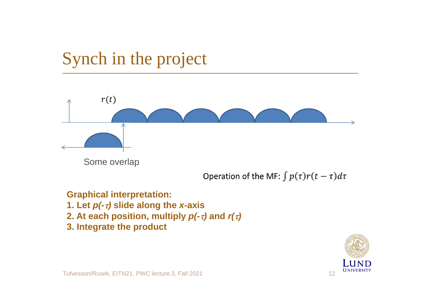

Operation of the MF:  $\int p(\tau)r(t-\tau)d\tau$ 

**Graphical interpretation:**

- **1. Let**  $p(-\tau)$  **slide along the** *x***-axis**
- **2. At each position, multiply**  $p(-\tau)$  **and**  $r(\tau)$
- **3. Integrate the product**

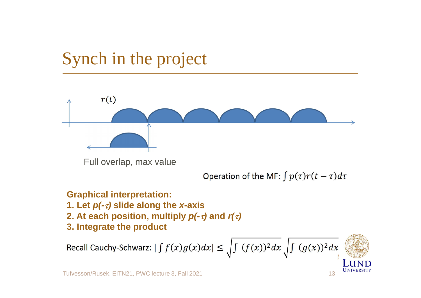

#### **Graphical interpretation:**

- **1. Let**  $p(-\tau)$  **slide along the** *x***-axis**
- **2.** At each position, multiply  $p(-\tau)$  and  $r(\tau)$
- **3. Integrate the product**

Recall Cauchy-Schwarz:  $|\int f(x)g(x)dx| \leq \int \int (f(x))^2 dx \int \int (g(x))^2 dx$ 

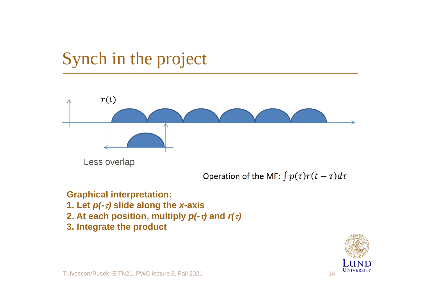

**Graphical interpretation:**

- **1. Let**  $p(-\tau)$  **slide along the** *x***-axis**
- **2. At each position, multiply**  $p(-\tau)$  **and**  $r(\tau)$
- **3. Integrate the product**

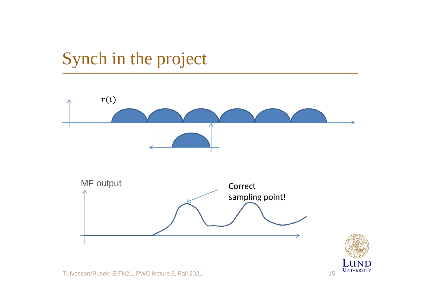